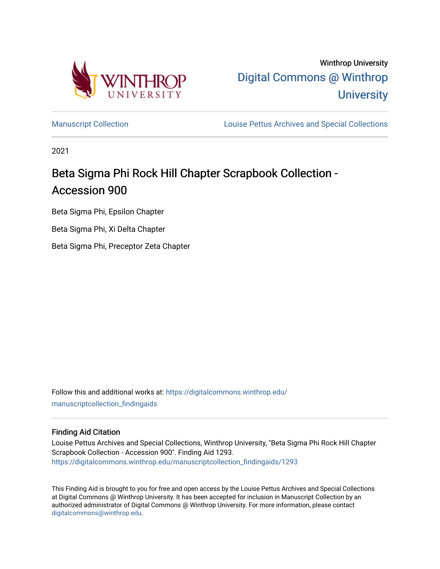

Winthrop University [Digital Commons @ Winthrop](https://digitalcommons.winthrop.edu/)  **University** 

[Manuscript Collection](https://digitalcommons.winthrop.edu/manuscriptcollection_findingaids) **Louise Pettus Archives and Special Collections** 

2021

# Beta Sigma Phi Rock Hill Chapter Scrapbook Collection - Accession 900

Beta Sigma Phi, Epsilon Chapter

Beta Sigma Phi, Xi Delta Chapter

Beta Sigma Phi, Preceptor Zeta Chapter

Follow this and additional works at: [https://digitalcommons.winthrop.edu/](https://digitalcommons.winthrop.edu/manuscriptcollection_findingaids?utm_source=digitalcommons.winthrop.edu%2Fmanuscriptcollection_findingaids%2F1293&utm_medium=PDF&utm_campaign=PDFCoverPages) [manuscriptcollection\\_findingaids](https://digitalcommons.winthrop.edu/manuscriptcollection_findingaids?utm_source=digitalcommons.winthrop.edu%2Fmanuscriptcollection_findingaids%2F1293&utm_medium=PDF&utm_campaign=PDFCoverPages) 

#### Finding Aid Citation

Louise Pettus Archives and Special Collections, Winthrop University, "Beta Sigma Phi Rock Hill Chapter Scrapbook Collection - Accession 900". Finding Aid 1293. [https://digitalcommons.winthrop.edu/manuscriptcollection\\_findingaids/1293](https://digitalcommons.winthrop.edu/manuscriptcollection_findingaids/1293?utm_source=digitalcommons.winthrop.edu%2Fmanuscriptcollection_findingaids%2F1293&utm_medium=PDF&utm_campaign=PDFCoverPages) 

This Finding Aid is brought to you for free and open access by the Louise Pettus Archives and Special Collections at Digital Commons @ Winthrop University. It has been accepted for inclusion in Manuscript Collection by an authorized administrator of Digital Commons @ Winthrop University. For more information, please contact [digitalcommons@winthrop.edu](mailto:digitalcommons@winthrop.edu).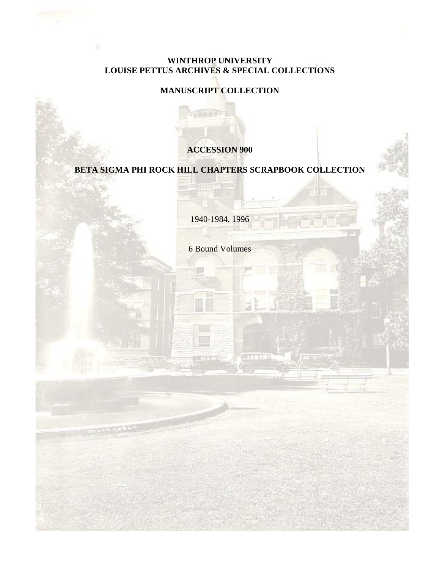# **WINTHROP UNIVERSITY LOUISE PETTUS ARCHIVES & SPECIAL COLLECTIONS**

## **MANUSCRIPT COLLECTION**

**TERRET** 

**TILLE** 

### **ACCESSION 900**

## **BETA SIGMA PHI ROCK HILL CHAPTERS SCRAPBOOK COLLECTION**

1940-1984, 1996

6 Bound Volumes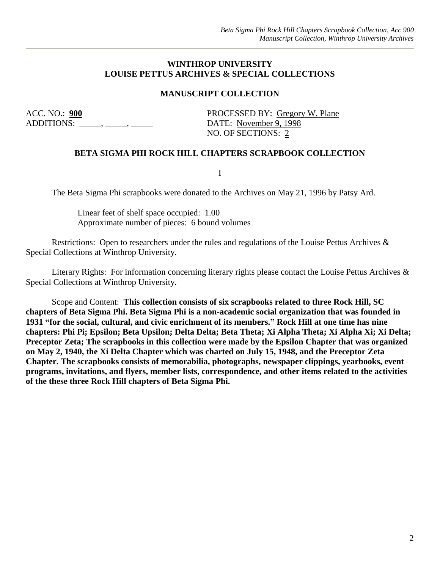#### **WINTHROP UNIVERSITY LOUISE PETTUS ARCHIVES & SPECIAL COLLECTIONS**

#### **MANUSCRIPT COLLECTION**

ADDITIONS:  $\qquad \qquad \_ \longrightarrow \_ \qquad \qquad$  DATE: November 9, 1998

ACC. NO.: **900** PROCESSED BY: Gregory W. Plane NO. OF SECTIONS: 2

#### **BETA SIGMA PHI ROCK HILL CHAPTERS SCRAPBOOK COLLECTION**

I

The Beta Sigma Phi scrapbooks were donated to the Archives on May 21, 1996 by Patsy Ard.

Linear feet of shelf space occupied: 1.00 Approximate number of pieces: 6 bound volumes

Restrictions: Open to researchers under the rules and regulations of the Louise Pettus Archives & Special Collections at Winthrop University.

Literary Rights: For information concerning literary rights please contact the Louise Pettus Archives & Special Collections at Winthrop University.

Scope and Content: **This collection consists of six scrapbooks related to three Rock Hill, SC chapters of Beta Sigma Phi. Beta Sigma Phi is a non-academic social organization that was founded in 1931 "for the social, cultural, and civic enrichment of its members." Rock Hill at one time has nine chapters: Phi Pi; Epsilon; Beta Upsilon; Delta Delta; Beta Theta; Xi Alpha Theta; Xi Alpha Xi; Xi Delta; Preceptor Zeta; The scrapbooks in this collection were made by the Epsilon Chapter that was organized on May 2, 1940, the Xi Delta Chapter which was charted on July 15, 1948, and the Preceptor Zeta Chapter. The scrapbooks consists of memorabilia, photographs, newspaper clippings, yearbooks, event programs, invitations, and flyers, member lists, correspondence, and other items related to the activities of the these three Rock Hill chapters of Beta Sigma Phi.**